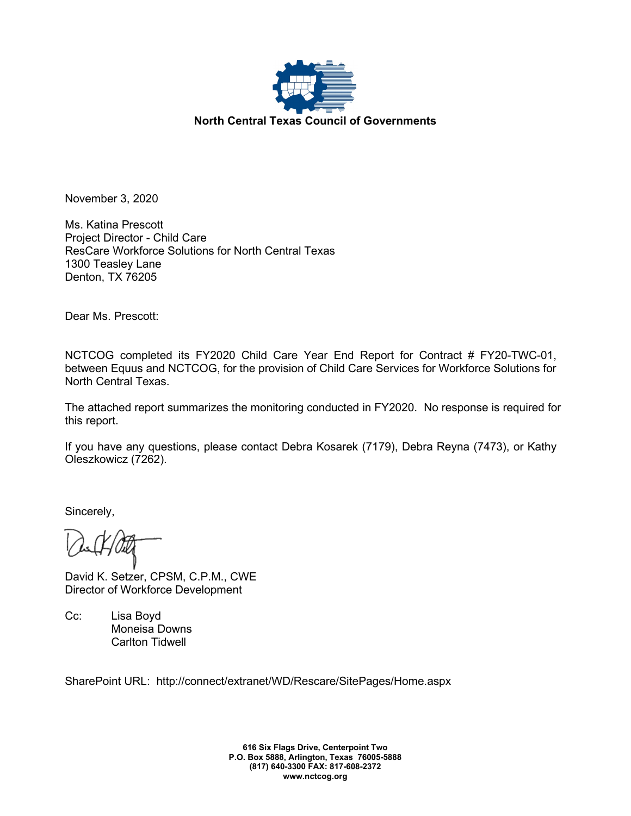

November 3, 2020

Ms. Katina Prescott Project Director - Child Care ResCare Workforce Solutions for North Central Texas 1300 Teasley Lane Denton, TX 76205

Dear Ms. Prescott:

NCTCOG completed its FY2020 Child Care Year End Report for Contract # FY20-TWC-01, between Equus and NCTCOG, for the provision of Child Care Services for Workforce Solutions for North Central Texas.

The attached report summarizes the monitoring conducted in FY2020. No response is required for this report.

If you have any questions, please contact Debra Kosarek (7179), Debra Reyna (7473), or Kathy Oleszkowicz (7262).

Sincerely,

David K. Setzer, CPSM, C.P.M., CWE Director of Workforce Development

Cc: Lisa Boyd Moneisa Downs Carlton Tidwell

SharePoint URL: http://connect/extranet/WD/Rescare/SitePages/Home.aspx

**616 Six Flags Drive, Centerpoint Two P.O. Box 5888, Arlington, Texas 76005-5888 (817) 640-3300 FAX: 817-608-2372 www.nctcog.org**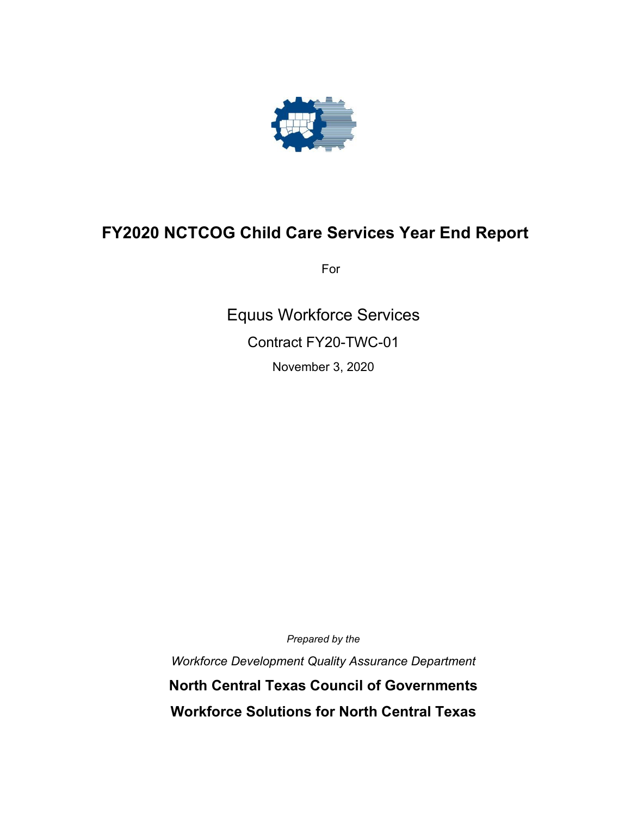

# **FY2020 NCTCOG Child Care Services Year End Report**

For

Equus Workforce Services Contract FY20-TWC-01 November 3, 2020

*Prepared by the*

*Workforce Development Quality Assurance Department* **North Central Texas Council of Governments Workforce Solutions for North Central Texas**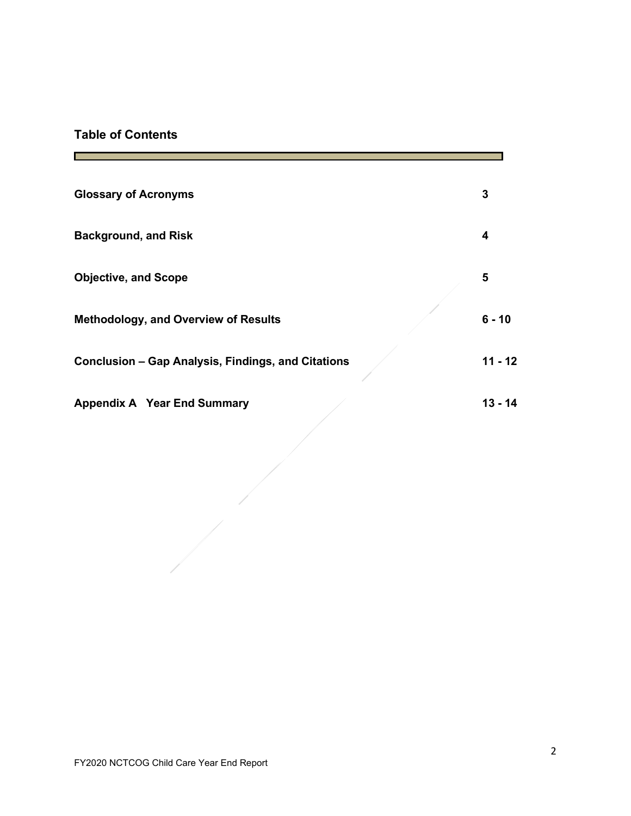# **Table of Contents**

 $\mathbb{R}^n$ 

| <b>Glossary of Acronyms</b>                        | 3         |
|----------------------------------------------------|-----------|
| <b>Background, and Risk</b>                        | 4         |
| <b>Objective, and Scope</b>                        | 5         |
| <b>Methodology, and Overview of Results</b>        | $6 - 10$  |
| Conclusion - Gap Analysis, Findings, and Citations | $11 - 12$ |
| <b>Appendix A Year End Summary</b>                 | 13 - 14   |

┓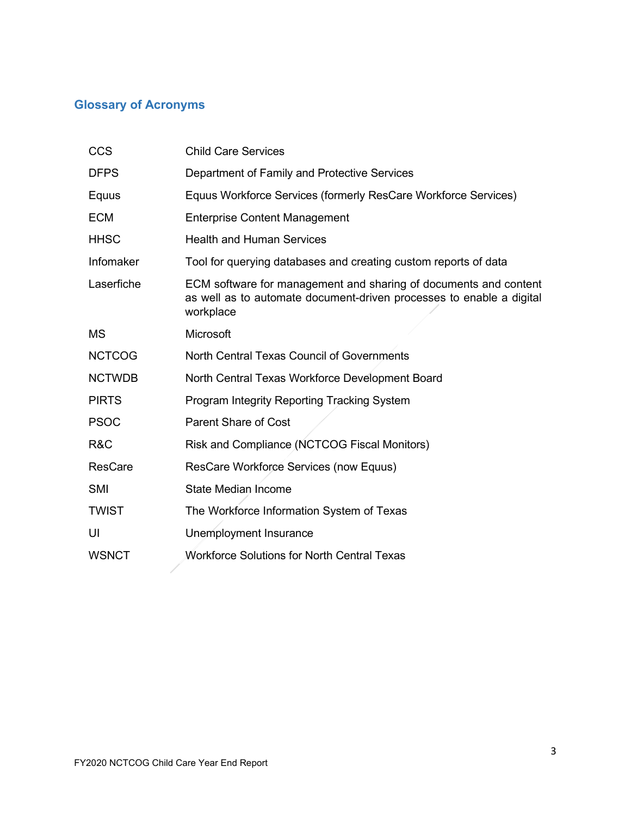# **Glossary of Acronyms**

| <b>CCS</b>     | <b>Child Care Services</b>                                                                                                                            |
|----------------|-------------------------------------------------------------------------------------------------------------------------------------------------------|
| <b>DFPS</b>    | Department of Family and Protective Services                                                                                                          |
| Equus          | Equus Workforce Services (formerly ResCare Workforce Services)                                                                                        |
| <b>ECM</b>     | <b>Enterprise Content Management</b>                                                                                                                  |
| <b>HHSC</b>    | <b>Health and Human Services</b>                                                                                                                      |
| Infomaker      | Tool for querying databases and creating custom reports of data                                                                                       |
| Laserfiche     | ECM software for management and sharing of documents and content<br>as well as to automate document-driven processes to enable a digital<br>workplace |
| МS             | Microsoft                                                                                                                                             |
| <b>NCTCOG</b>  | North Central Texas Council of Governments                                                                                                            |
| <b>NCTWDB</b>  | North Central Texas Workforce Development Board                                                                                                       |
| <b>PIRTS</b>   | <b>Program Integrity Reporting Tracking System</b>                                                                                                    |
| <b>PSOC</b>    | <b>Parent Share of Cost</b>                                                                                                                           |
| R&C            | Risk and Compliance (NCTCOG Fiscal Monitors)                                                                                                          |
| <b>ResCare</b> | ResCare Workforce Services (now Equus)                                                                                                                |
| <b>SMI</b>     | State Median Income                                                                                                                                   |
| <b>TWIST</b>   | The Workforce Information System of Texas                                                                                                             |
| UI             | Unemployment Insurance                                                                                                                                |
| <b>WSNCT</b>   | <b>Workforce Solutions for North Central Texas</b>                                                                                                    |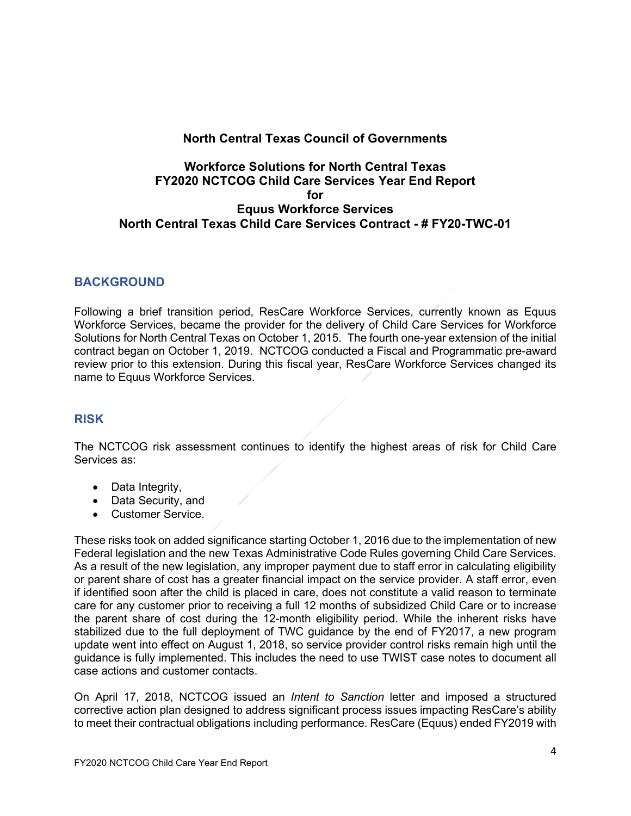# **North Central Texas Council of Governments**

# **Workforce Solutions for North Central Texas FY2020 NCTCOG Child Care Services Year End Report for Equus Workforce Services North Central Texas Child Care Services Contract - # FY20-TWC-01**

# **BACKGROUND**

Following a brief transition period, ResCare Workforce Services, currently known as Equus Workforce Services, became the provider for the delivery of Child Care Services for Workforce Solutions for North Central Texas on October 1, 2015. The fourth one-year extension of the initial contract began on October 1, 2019. NCTCOG conducted a Fiscal and Programmatic pre-award review prior to this extension. During this fiscal year, ResCare Workforce Services changed its name to Equus Workforce Services.

# **RISK**

The NCTCOG risk assessment continues to identify the highest areas of risk for Child Care Services as:

- Data Integrity,
- Data Security, and
- Customer Service.

These risks took on added significance starting October 1, 2016 due to the implementation of new Federal legislation and the new Texas Administrative Code Rules governing Child Care Services. As a result of the new legislation, any improper payment due to staff error in calculating eligibility or parent share of cost has a greater financial impact on the service provider. A staff error, even if identified soon after the child is placed in care, does not constitute a valid reason to terminate care for any customer prior to receiving a full 12 months of subsidized Child Care or to increase the parent share of cost during the 12-month eligibility period. While the inherent risks have stabilized due to the full deployment of TWC guidance by the end of FY2017, a new program update went into effect on August 1, 2018, so service provider control risks remain high until the guidance is fully implemented. This includes the need to use TWIST case notes to document all case actions and customer contacts.

On April 17, 2018, NCTCOG issued an *Intent to Sanction* letter and imposed a structured corrective action plan designed to address significant process issues impacting ResCare's ability to meet their contractual obligations including performance. ResCare (Equus) ended FY2019 with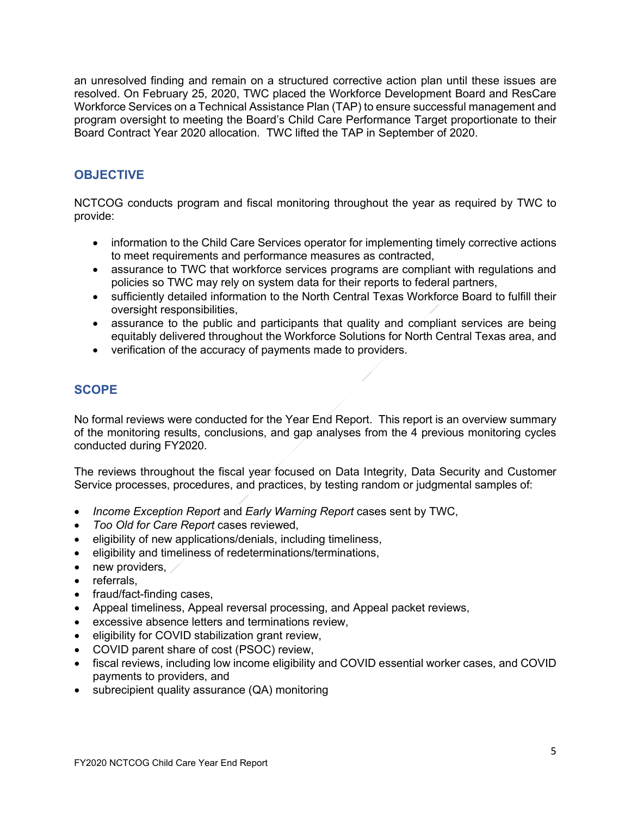an unresolved finding and remain on a structured corrective action plan until these issues are resolved. On February 25, 2020, TWC placed the Workforce Development Board and ResCare Workforce Services on a Technical Assistance Plan (TAP) to ensure successful management and program oversight to meeting the Board's Child Care Performance Target proportionate to their Board Contract Year 2020 allocation. TWC lifted the TAP in September of 2020.

# **OBJECTIVE**

NCTCOG conducts program and fiscal monitoring throughout the year as required by TWC to provide:

- information to the Child Care Services operator for implementing timely corrective actions to meet requirements and performance measures as contracted,
- assurance to TWC that workforce services programs are compliant with regulations and policies so TWC may rely on system data for their reports to federal partners,
- sufficiently detailed information to the North Central Texas Workforce Board to fulfill their oversight responsibilities,
- assurance to the public and participants that quality and compliant services are being equitably delivered throughout the Workforce Solutions for North Central Texas area, and
- verification of the accuracy of payments made to providers.

# **SCOPE**

No formal reviews were conducted for the Year End Report. This report is an overview summary of the monitoring results, conclusions, and gap analyses from the 4 previous monitoring cycles conducted during FY2020.

The reviews throughout the fiscal year focused on Data Integrity, Data Security and Customer Service processes, procedures, and practices, by testing random or judgmental samples of:

- *Income Exception Report* and *Early Warning Report* cases sent by TWC,
- *Too Old for Care Report* cases reviewed,
- eligibility of new applications/denials, including timeliness,
- eligibility and timeliness of redeterminations/terminations,
- $\bullet$  new providers,
- referrals,
- fraud/fact-finding cases,
- Appeal timeliness, Appeal reversal processing, and Appeal packet reviews,
- excessive absence letters and terminations review,
- eligibility for COVID stabilization grant review.
- COVID parent share of cost (PSOC) review,
- fiscal reviews, including low income eligibility and COVID essential worker cases, and COVID payments to providers, and
- subrecipient quality assurance (QA) monitoring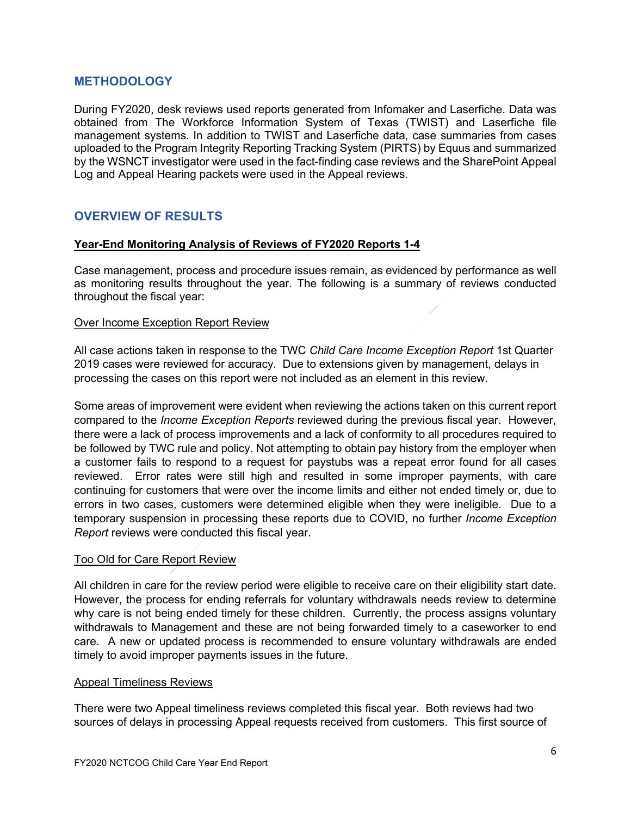# **METHODOLOGY**

During FY2020, desk reviews used reports generated from Infomaker and Laserfiche. Data was obtained from The Workforce Information System of Texas (TWIST) and Laserfiche file management systems. In addition to TWIST and Laserfiche data, case summaries from cases uploaded to the Program Integrity Reporting Tracking System (PIRTS) by Equus and summarized by the WSNCT investigator were used in the fact-finding case reviews and the SharePoint Appeal Log and Appeal Hearing packets were used in the Appeal reviews.

# **OVERVIEW OF RESULTS**

#### **Year-End Monitoring Analysis of Reviews of FY2020 Reports 1-4**

Case management, process and procedure issues remain, as evidenced by performance as well as monitoring results throughout the year. The following is a summary of reviews conducted throughout the fiscal year:

#### Over Income Exception Report Review

All case actions taken in response to the TWC *Child Care Income Exception Report* 1st Quarter 2019 cases were reviewed for accuracy. Due to extensions given by management, delays in processing the cases on this report were not included as an element in this review.

Some areas of improvement were evident when reviewing the actions taken on this current report compared to the *Income Exception Reports* reviewed during the previous fiscal year. However, there were a lack of process improvements and a lack of conformity to all procedures required to be followed by TWC rule and policy. Not attempting to obtain pay history from the employer when a customer fails to respond to a request for paystubs was a repeat error found for all cases reviewed. Error rates were still high and resulted in some improper payments, with care continuing for customers that were over the income limits and either not ended timely or, due to errors in two cases, customers were determined eligible when they were ineligible. Due to a temporary suspension in processing these reports due to COVID, no further *Income Exception Report* reviews were conducted this fiscal year.

## Too Old for Care Report Review

All children in care for the review period were eligible to receive care on their eligibility start date. However, the process for ending referrals for voluntary withdrawals needs review to determine why care is not being ended timely for these children. Currently, the process assigns voluntary withdrawals to Management and these are not being forwarded timely to a caseworker to end care. A new or updated process is recommended to ensure voluntary withdrawals are ended timely to avoid improper payments issues in the future.

#### Appeal Timeliness Reviews

There were two Appeal timeliness reviews completed this fiscal year. Both reviews had two sources of delays in processing Appeal requests received from customers. This first source of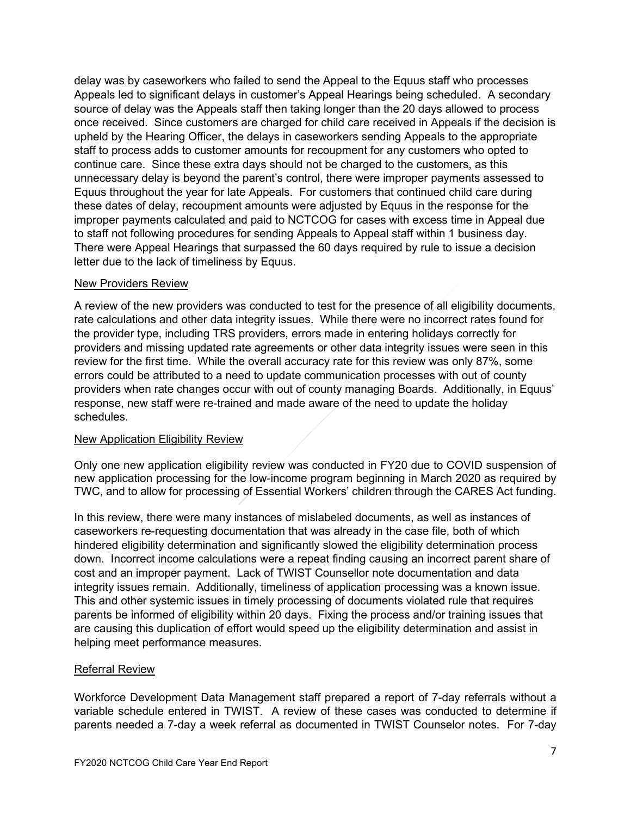delay was by caseworkers who failed to send the Appeal to the Equus staff who processes Appeals led to significant delays in customer's Appeal Hearings being scheduled. A secondary source of delay was the Appeals staff then taking longer than the 20 days allowed to process once received. Since customers are charged for child care received in Appeals if the decision is upheld by the Hearing Officer, the delays in caseworkers sending Appeals to the appropriate staff to process adds to customer amounts for recoupment for any customers who opted to continue care. Since these extra days should not be charged to the customers, as this unnecessary delay is beyond the parent's control, there were improper payments assessed to Equus throughout the year for late Appeals. For customers that continued child care during these dates of delay, recoupment amounts were adjusted by Equus in the response for the improper payments calculated and paid to NCTCOG for cases with excess time in Appeal due to staff not following procedures for sending Appeals to Appeal staff within 1 business day. There were Appeal Hearings that surpassed the 60 days required by rule to issue a decision letter due to the lack of timeliness by Equus.

#### New Providers Review

A review of the new providers was conducted to test for the presence of all eligibility documents, rate calculations and other data integrity issues. While there were no incorrect rates found for the provider type, including TRS providers, errors made in entering holidays correctly for providers and missing updated rate agreements or other data integrity issues were seen in this review for the first time. While the overall accuracy rate for this review was only 87%, some errors could be attributed to a need to update communication processes with out of county providers when rate changes occur with out of county managing Boards. Additionally, in Equus' response, new staff were re-trained and made aware of the need to update the holiday schedules.

#### New Application Eligibility Review

Only one new application eligibility review was conducted in FY20 due to COVID suspension of new application processing for the low-income program beginning in March 2020 as required by TWC, and to allow for processing of Essential Workers' children through the CARES Act funding.

In this review, there were many instances of mislabeled documents, as well as instances of caseworkers re-requesting documentation that was already in the case file, both of which hindered eligibility determination and significantly slowed the eligibility determination process down. Incorrect income calculations were a repeat finding causing an incorrect parent share of cost and an improper payment. Lack of TWIST Counsellor note documentation and data integrity issues remain. Additionally, timeliness of application processing was a known issue. This and other systemic issues in timely processing of documents violated rule that requires parents be informed of eligibility within 20 days. Fixing the process and/or training issues that are causing this duplication of effort would speed up the eligibility determination and assist in helping meet performance measures.

#### Referral Review

Workforce Development Data Management staff prepared a report of 7-day referrals without a variable schedule entered in TWIST. A review of these cases was conducted to determine if parents needed a 7-day a week referral as documented in TWIST Counselor notes. For 7-day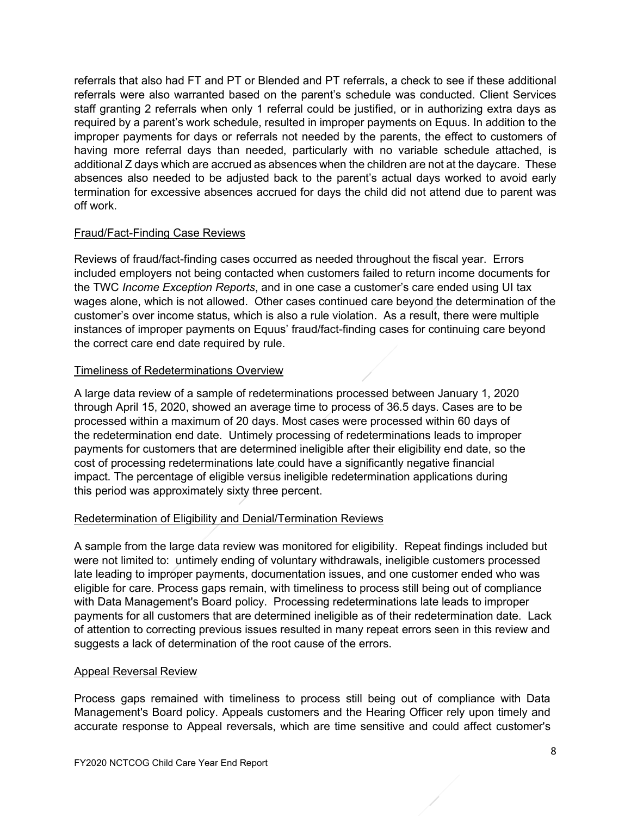referrals that also had FT and PT or Blended and PT referrals, a check to see if these additional referrals were also warranted based on the parent's schedule was conducted. Client Services staff granting 2 referrals when only 1 referral could be justified, or in authorizing extra days as required by a parent's work schedule, resulted in improper payments on Equus. In addition to the improper payments for days or referrals not needed by the parents, the effect to customers of having more referral days than needed, particularly with no variable schedule attached, is additional Z days which are accrued as absences when the children are not at the daycare. These absences also needed to be adjusted back to the parent's actual days worked to avoid early termination for excessive absences accrued for days the child did not attend due to parent was off work.

## Fraud/Fact-Finding Case Reviews

Reviews of fraud/fact-finding cases occurred as needed throughout the fiscal year. Errors included employers not being contacted when customers failed to return income documents for the TWC *Income Exception Reports*, and in one case a customer's care ended using UI tax wages alone, which is not allowed. Other cases continued care beyond the determination of the customer's over income status, which is also a rule violation. As a result, there were multiple instances of improper payments on Equus' fraud/fact-finding cases for continuing care beyond the correct care end date required by rule.

#### Timeliness of Redeterminations Overview

A large data review of a sample of redeterminations processed between January 1, 2020 through April 15, 2020, showed an average time to process of 36.5 days. Cases are to be processed within a maximum of 20 days. Most cases were processed within 60 days of the redetermination end date. Untimely processing of redeterminations leads to improper payments for customers that are determined ineligible after their eligibility end date, so the cost of processing redeterminations late could have a significantly negative financial impact. The percentage of eligible versus ineligible redetermination applications during this period was approximately sixty three percent.

#### Redetermination of Eligibility and Denial/Termination Reviews

A sample from the large data review was monitored for eligibility. Repeat findings included but were not limited to: untimely ending of voluntary withdrawals, ineligible customers processed late leading to improper payments, documentation issues, and one customer ended who was eligible for care. Process gaps remain, with timeliness to process still being out of compliance with Data Management's Board policy. Processing redeterminations late leads to improper payments for all customers that are determined ineligible as of their redetermination date. Lack of attention to correcting previous issues resulted in many repeat errors seen in this review and suggests a lack of determination of the root cause of the errors.

#### Appeal Reversal Review

Process gaps remained with timeliness to process still being out of compliance with Data Management's Board policy. Appeals customers and the Hearing Officer rely upon timely and accurate response to Appeal reversals, which are time sensitive and could affect customer's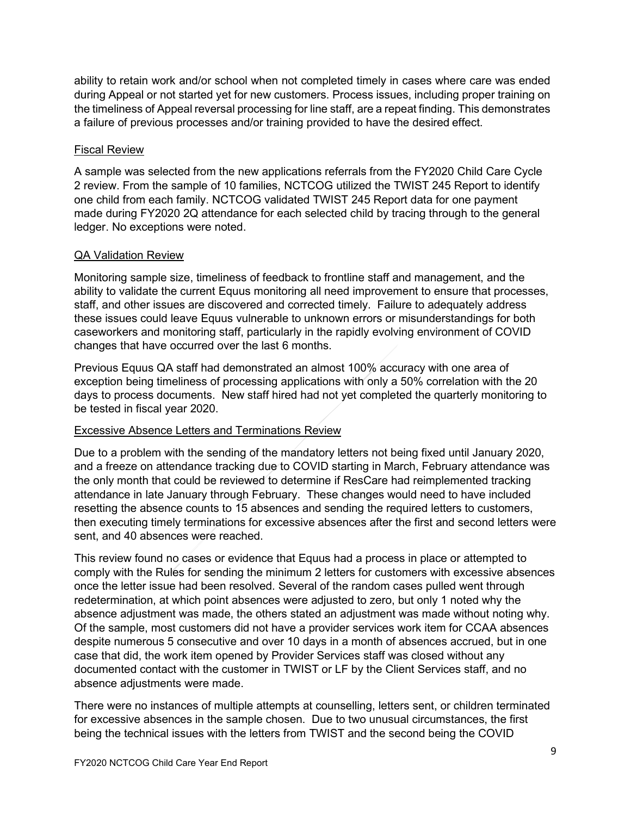ability to retain work and/or school when not completed timely in cases where care was ended during Appeal or not started yet for new customers. Process issues, including proper training on the timeliness of Appeal reversal processing for line staff, are a repeat finding. This demonstrates a failure of previous processes and/or training provided to have the desired effect.

### Fiscal Review

A sample was selected from the new applications referrals from the FY2020 Child Care Cycle 2 review. From the sample of 10 families, NCTCOG utilized the TWIST 245 Report to identify one child from each family. NCTCOG validated TWIST 245 Report data for one payment made during FY2020 2Q attendance for each selected child by tracing through to the general ledger. No exceptions were noted.

#### QA Validation Review

Monitoring sample size, timeliness of feedback to frontline staff and management, and the ability to validate the current Equus monitoring all need improvement to ensure that processes, staff, and other issues are discovered and corrected timely. Failure to adequately address these issues could leave Equus vulnerable to unknown errors or misunderstandings for both caseworkers and monitoring staff, particularly in the rapidly evolving environment of COVID changes that have occurred over the last 6 months.

Previous Equus QA staff had demonstrated an almost 100% accuracy with one area of exception being timeliness of processing applications with only a 50% correlation with the 20 days to process documents. New staff hired had not yet completed the quarterly monitoring to be tested in fiscal year 2020.

## Excessive Absence Letters and Terminations Review

Due to a problem with the sending of the mandatory letters not being fixed until January 2020, and a freeze on attendance tracking due to COVID starting in March, February attendance was the only month that could be reviewed to determine if ResCare had reimplemented tracking attendance in late January through February. These changes would need to have included resetting the absence counts to 15 absences and sending the required letters to customers, then executing timely terminations for excessive absences after the first and second letters were sent, and 40 absences were reached.

This review found no cases or evidence that Equus had a process in place or attempted to comply with the Rules for sending the minimum 2 letters for customers with excessive absences once the letter issue had been resolved. Several of the random cases pulled went through redetermination, at which point absences were adjusted to zero, but only 1 noted why the absence adjustment was made, the others stated an adjustment was made without noting why. Of the sample, most customers did not have a provider services work item for CCAA absences despite numerous 5 consecutive and over 10 days in a month of absences accrued, but in one case that did, the work item opened by Provider Services staff was closed without any documented contact with the customer in TWIST or LF by the Client Services staff, and no absence adjustments were made.

There were no instances of multiple attempts at counselling, letters sent, or children terminated for excessive absences in the sample chosen. Due to two unusual circumstances, the first being the technical issues with the letters from TWIST and the second being the COVID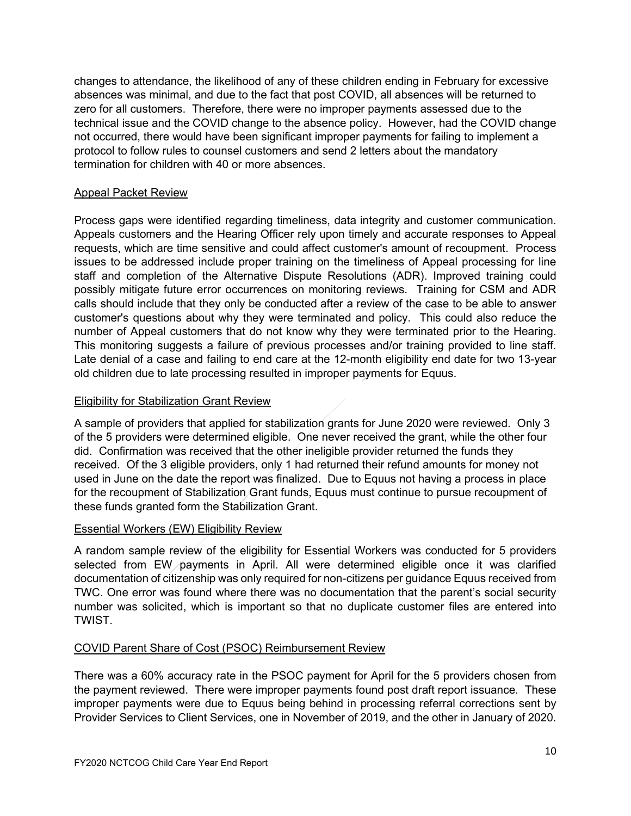changes to attendance, the likelihood of any of these children ending in February for excessive absences was minimal, and due to the fact that post COVID, all absences will be returned to zero for all customers. Therefore, there were no improper payments assessed due to the technical issue and the COVID change to the absence policy. However, had the COVID change not occurred, there would have been significant improper payments for failing to implement a protocol to follow rules to counsel customers and send 2 letters about the mandatory termination for children with 40 or more absences.

## Appeal Packet Review

Process gaps were identified regarding timeliness, data integrity and customer communication. Appeals customers and the Hearing Officer rely upon timely and accurate responses to Appeal requests, which are time sensitive and could affect customer's amount of recoupment. Process issues to be addressed include proper training on the timeliness of Appeal processing for line staff and completion of the Alternative Dispute Resolutions (ADR). Improved training could possibly mitigate future error occurrences on monitoring reviews. Training for CSM and ADR calls should include that they only be conducted after a review of the case to be able to answer customer's questions about why they were terminated and policy. This could also reduce the number of Appeal customers that do not know why they were terminated prior to the Hearing. This monitoring suggests a failure of previous processes and/or training provided to line staff. Late denial of a case and failing to end care at the 12-month eligibility end date for two 13-year old children due to late processing resulted in improper payments for Equus.

## Eligibility for Stabilization Grant Review

A sample of providers that applied for stabilization grants for June 2020 were reviewed. Only 3 of the 5 providers were determined eligible. One never received the grant, while the other four did. Confirmation was received that the other ineligible provider returned the funds they received. Of the 3 eligible providers, only 1 had returned their refund amounts for money not used in June on the date the report was finalized. Due to Equus not having a process in place for the recoupment of Stabilization Grant funds, Equus must continue to pursue recoupment of these funds granted form the Stabilization Grant.

## Essential Workers (EW) Eligibility Review

A random sample review of the eligibility for Essential Workers was conducted for 5 providers selected from EW payments in April. All were determined eligible once it was clarified documentation of citizenship was only required for non-citizens per guidance Equus received from TWC. One error was found where there was no documentation that the parent's social security number was solicited, which is important so that no duplicate customer files are entered into TWIST.

## COVID Parent Share of Cost (PSOC) Reimbursement Review

There was a 60% accuracy rate in the PSOC payment for April for the 5 providers chosen from the payment reviewed. There were improper payments found post draft report issuance. These improper payments were due to Equus being behind in processing referral corrections sent by Provider Services to Client Services, one in November of 2019, and the other in January of 2020.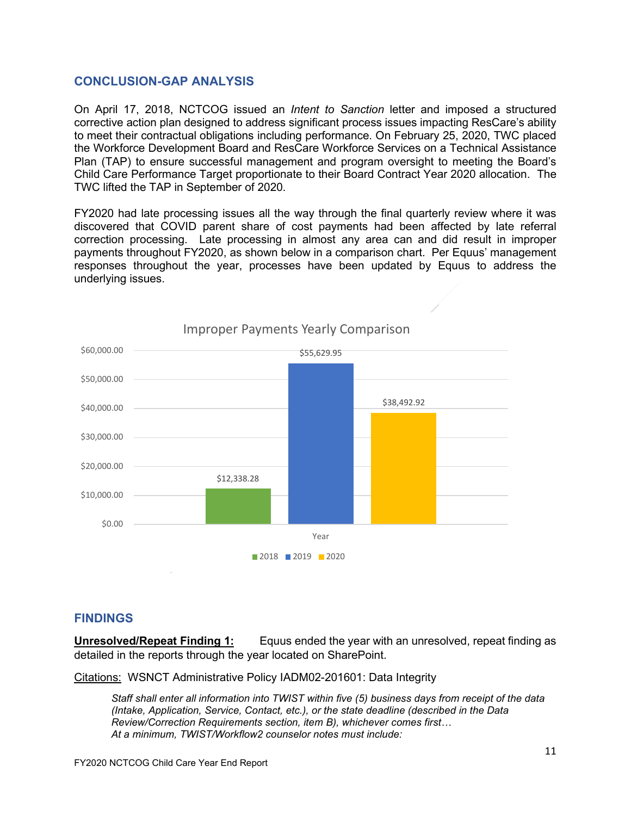# **CONCLUSION-GAP ANALYSIS**

On April 17, 2018, NCTCOG issued an *Intent to Sanction* letter and imposed a structured corrective action plan designed to address significant process issues impacting ResCare's ability to meet their contractual obligations including performance. On February 25, 2020, TWC placed the Workforce Development Board and ResCare Workforce Services on a Technical Assistance Plan (TAP) to ensure successful management and program oversight to meeting the Board's Child Care Performance Target proportionate to their Board Contract Year 2020 allocation. The TWC lifted the TAP in September of 2020.

FY2020 had late processing issues all the way through the final quarterly review where it was discovered that COVID parent share of cost payments had been affected by late referral correction processing. Late processing in almost any area can and did result in improper payments throughout FY2020, as shown below in a comparison chart. Per Equus' management responses throughout the year, processes have been updated by Equus to address the underlying issues.



Improper Payments Yearly Comparison

## **FINDINGS**

**Unresolved/Repeat Finding 1:** Equus ended the year with an unresolved, repeat finding as detailed in the reports through the year located on SharePoint.

Citations: WSNCT Administrative Policy IADM02-201601: Data Integrity

*Staff shall enter all information into TWIST within five (5) business days from receipt of the data (Intake, Application, Service, Contact, etc.), or the state deadline (described in the Data Review/Correction Requirements section, item B), whichever comes first… At a minimum, TWIST/Workflow2 counselor notes must include:*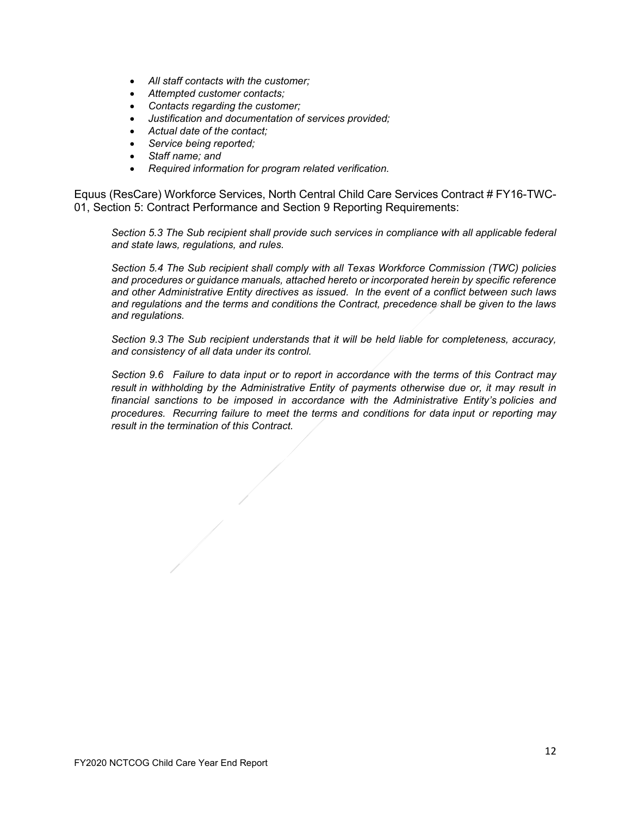- *All staff contacts with the customer;*
- *Attempted customer contacts;*
- *Contacts regarding the customer;*
- *Justification and documentation of services provided;*
- *Actual date of the contact;*
- *Service being reported;*
- *Staff name; and*
- *Required information for program related verification.*

Equus (ResCare) Workforce Services, North Central Child Care Services Contract # FY16-TWC-01, Section 5: Contract Performance and Section 9 Reporting Requirements:

*Section 5.3 The Sub recipient shall provide such services in compliance with all applicable federal and state laws, regulations, and rules.*

*Section 5.4 The Sub recipient shall comply with all Texas Workforce Commission (TWC) policies and procedures or guidance manuals, attached hereto or incorporated herein by specific reference and other Administrative Entity directives as issued. In the event of a conflict between such laws and regulations and the terms and conditions the Contract, precedence shall be given to the laws and regulations.* 

*Section 9.3 The Sub recipient understands that it will be held liable for completeness, accuracy, and consistency of all data under its control.*

*Section 9.6 Failure to data input or to report in accordance with the terms of this Contract may result in withholding by the Administrative Entity of payments otherwise due or, it may result in financial sanctions to be imposed in accordance with the Administrative Entity's policies and procedures. Recurring failure to meet the terms and conditions for data input or reporting may result in the termination of this Contract.*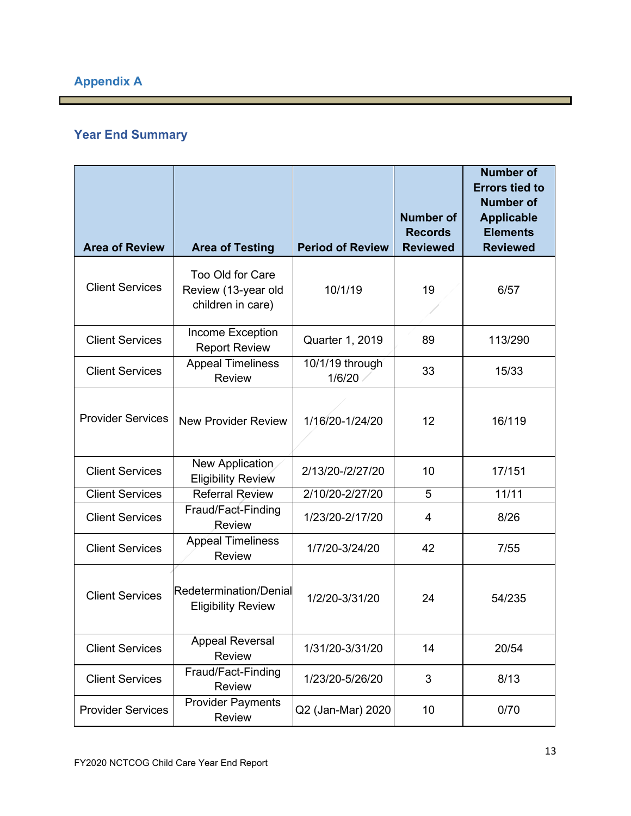**The Contract of Street** 

# **Year End Summary**

|                          |                                                              |                           | <b>Number of</b><br><b>Records</b> | <b>Number of</b><br><b>Errors tied to</b><br><b>Number of</b><br><b>Applicable</b><br><b>Elements</b> |
|--------------------------|--------------------------------------------------------------|---------------------------|------------------------------------|-------------------------------------------------------------------------------------------------------|
| <b>Area of Review</b>    | <b>Area of Testing</b>                                       | <b>Period of Review</b>   | <b>Reviewed</b>                    | <b>Reviewed</b>                                                                                       |
| <b>Client Services</b>   | Too Old for Care<br>Review (13-year old<br>children in care) | 10/1/19                   | 19                                 | 6/57                                                                                                  |
| <b>Client Services</b>   | Income Exception<br><b>Report Review</b>                     | Quarter 1, 2019           | 89                                 | 113/290                                                                                               |
| <b>Client Services</b>   | <b>Appeal Timeliness</b><br><b>Review</b>                    | 10/1/19 through<br>1/6/20 | 33                                 | 15/33                                                                                                 |
| <b>Provider Services</b> | <b>New Provider Review</b>                                   | 1/16/20-1/24/20           | 12                                 | 16/119                                                                                                |
| <b>Client Services</b>   | New Application<br><b>Eligibility Review</b>                 | 2/13/20-/2/27/20          | 10                                 | 17/151                                                                                                |
| <b>Client Services</b>   | Referral Review                                              | 2/10/20-2/27/20           | 5                                  | 11/11                                                                                                 |
| <b>Client Services</b>   | Fraud/Fact-Finding<br>Review                                 | 1/23/20-2/17/20           | 4                                  | 8/26                                                                                                  |
| <b>Client Services</b>   | <b>Appeal Timeliness</b><br><b>Review</b>                    | 1/7/20-3/24/20            | 42                                 | 7/55                                                                                                  |
| <b>Client Services</b>   | Redetermination/Denial<br><b>Eligibility Review</b>          | 1/2/20-3/31/20            | 24                                 | 54/235                                                                                                |
| <b>Client Services</b>   | <b>Appeal Reversal</b><br><b>Review</b>                      | 1/31/20-3/31/20           | 14                                 | 20/54                                                                                                 |
| <b>Client Services</b>   | Fraud/Fact-Finding<br><b>Review</b>                          | 1/23/20-5/26/20           | 3                                  | 8/13                                                                                                  |
| <b>Provider Services</b> | <b>Provider Payments</b><br>Review                           | Q2 (Jan-Mar) 2020         | 10                                 | 0/70                                                                                                  |

٦